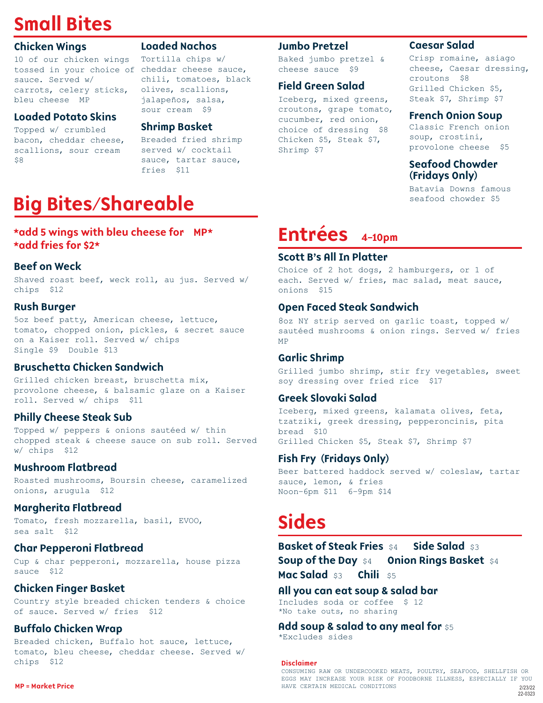## Small Bites

### Chicken Wings

10 of our chicken wings tossed in your choice of cheddar cheese sauce, sauce. Served w/ carrots, celery sticks, bleu cheese MP

### Loaded Potato Skins

Topped w/ crumbled bacon, cheddar cheese, scallions, sour cream \$8

### Loaded Nachos

Tortilla chips w/ chili, tomatoes, black olives, scallions, jalapeños, salsa, sour cream \$9

### Shrimp Basket

Breaded fried shrimp served w/ cocktail sauce, tartar sauce, fries \$11

## Big Bites/Shareable

### \*add 5 wings with bleu cheese for MP\* \*add fries for \$2\*

### Beef on Weck

Shaved roast beef, weck roll, au jus. Served w/ chips \$12

### Rush Burger

5oz beef patty, American cheese, lettuce, tomato, chopped onion, pickles, & secret sauce on a Kaiser roll. Served w/ chips Single \$9 Double \$13

### Bruschetta Chicken Sandwich

Grilled chicken breast, bruschetta mix, provolone cheese, & balsamic glaze on a Kaiser roll. Served w/ chips \$11

### Philly Cheese Steak Sub

Topped w/ peppers & onions sautéed w/ thin chopped steak & cheese sauce on sub roll. Served w/ chips \$12

### Mushroom Flatbread

Roasted mushrooms, Boursin cheese, caramelized onions, arugula \$12

### Margherita Flatbread

Tomato, fresh mozzarella, basil, EVOO, sea salt \$12

### Char Pepperoni Flatbread

Cup & char pepperoni, mozzarella, house pizza sauce \$12

### Chicken Finger Basket

Country style breaded chicken tenders & choice of sauce. Served w/ fries \$12

### Buffalo Chicken Wrap

Breaded chicken, Buffalo hot sauce, lettuce, tomato, bleu cheese, cheddar cheese. Served w/ chips \$12

Baked jumbo pretzel & cheese sauce \$9

### Field Green Salad

Iceberg, mixed greens, croutons, grape tomato, cucumber, red onion, choice of dressing \$8 Chicken \$5, Steak \$7, Shrimp \$7

### Caesar Salad

Crisp romaine, asiago cheese, Caesar dressing, croutons \$8 Grilled Chicken \$5, Steak \$7, Shrimp \$7

### French Onion Soup

Classic French onion soup, crostini, provolone cheese \$5

### Seafood Chowder (Fridays Only)

Batavia Downs famous seafood chowder \$5

# Entrées 4-10pm<br>Scott B's All In Platter

Choice of 2 hot dogs, 2 hamburgers, or 1 of each. Served w/ fries, mac salad, meat sauce, onions \$15

### Open Faced Steak Sandwich

8oz NY strip served on garlic toast, topped w/ sautéed mushrooms & onion rings. Served w/ fries MP

### Garlic Shrimp

Grilled jumbo shrimp, stir fry vegetables, sweet soy dressing over fried rice \$17

### Greek Slovaki Salad

Iceberg, mixed greens, kalamata olives, feta, tzatziki, greek dressing, pepperoncinis, pita bread \$10 Grilled Chicken \$5, Steak \$7, Shrimp \$7

### Fish Fry (Fridays Only)

Beer battered haddock served w/ coleslaw, tartar sauce, lemon, & fries Noon–6pm \$11 6–9pm \$14

### Sides

**Basket of Steak Fries** \$4 Side Salad \$3 **Soup of the Day \$4 Dnion Rings Basket \$4** Mac Salad \$3 Chili \$5

### All you can eat soup & salad bar

Includes soda or coffee \$ 12 \*No take outs, no sharing

Add soup & salad to any meal for  $$5$ 

\*Excludes sides

#### Disclaimer

CONSUMING RAW OR UNDERCOOKED MEATS, POULTRY, SEAFOOD, SHELLFISH OR EGGS MAY INCREASE YOUR RISK OF FOODBORNE ILLNESS, ESPECIALLY IF YOU MP = Market Price **HAVE CERTAIN MEDICAL CONDITIONS** 2/23/22